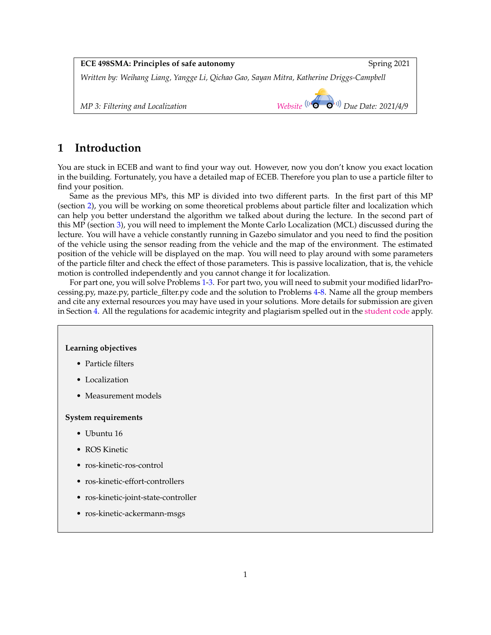| <b>ECE 498SMA: Principles of safe autonomy</b>                                           | Spring 2021                                                                                        |
|------------------------------------------------------------------------------------------|----------------------------------------------------------------------------------------------------|
| Written by: Weihang Liang, Yangge Li, Qichao Gao, Sayan Mitra, Katherine Driggs-Campbell |                                                                                                    |
| MP 3: Filtering and Localization                                                         | Website $\left(\left(\begin{matrix} 1 & 0 \\ 0 & 0 \end{matrix}\right) \right)$ Due Date: 2021/4/9 |

# **1 Introduction**

You are stuck in ECEB and want to find your way out. However, now you don't know you exact location in the building. Fortunately, you have a detailed map of ECEB. Therefore you plan to use a particle filter to find your position.

Same as the previous MPs, this MP is divided into two different parts. In the first part of this MP (section [2\)](#page-1-0), you will be working on some theoretical problems about particle filter and localization which can help you better understand the algorithm we talked about during the lecture. In the second part of this MP (section [3\)](#page-2-0), you will need to implement the Monte Carlo Localization (MCL) discussed during the lecture. You will have a vehicle constantly running in Gazebo simulator and you need to find the position of the vehicle using the sensor reading from the vehicle and the map of the environment. The estimated position of the vehicle will be displayed on the map. You will need to play around with some parameters of the particle filter and check the effect of those parameters. This is passive localization, that is, the vehicle motion is controlled independently and you cannot change it for localization.

For part one, you will solve Problems [1](#page-1-1)[-3.](#page-1-2) For part two, you will need to submit your modified lidarProcessing.py, maze.py, particle\_filter.py code and the solution to Problems [4](#page-10-0)[-8.](#page-10-1) Name all the group members and cite any external resources you may have used in your solutions. More details for submission are given in Section [4.](#page-10-2) All the regulations for academic integrity and plagiarism spelled out in the [student code](https://studentcode.illinois.edu/article1/part4/1-402/) apply.

### **Learning objectives**

- Particle filters
- Localization
- Measurement models

### **System requirements**

- Ubuntu 16
- ROS Kinetic
- ros-kinetic-ros-control
- ros-kinetic-effort-controllers
- ros-kinetic-joint-state-controller
- ros-kinetic-ackermann-msgs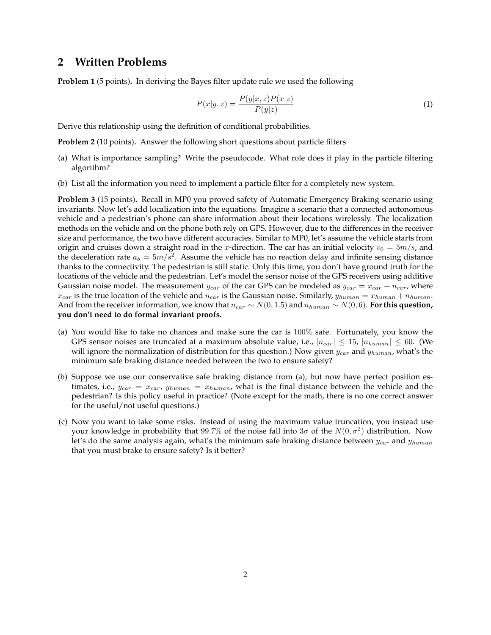# <span id="page-1-0"></span>**2 Written Problems**

<span id="page-1-1"></span>**Problem 1** (5 points)**.** In deriving the Bayes filter update rule we used the following

$$
P(x|y,z) = \frac{P(y|x,z)P(x|z)}{P(y|z)}
$$
\n<sup>(1)</sup>

Derive this relationship using the definition of conditional probabilities.

**Problem 2** (10 points)**.** Answer the following short questions about particle filters

- (a) What is importance sampling? Write the pseudocode. What role does it play in the particle filtering algorithm?
- (b) List all the information you need to implement a particle filter for a completely new system.

<span id="page-1-2"></span>**Problem 3** (15 points)**.** Recall in MP0 you proved safety of Automatic Emergency Braking scenario using invariants. Now let's add localization into the equations. Imagine a scenario that a connected autonomous vehicle and a pedestrian's phone can share information about their locations wirelessly. The localization methods on the vehicle and on the phone both rely on GPS. However, due to the differences in the receiver size and performance, the two have different accuracies. Similar to MP0, let's assume the vehicle starts from origin and cruises down a straight road in the x-direction. The car has an initial velocity  $v_0 = 5m/s$ , and the deceleration rate  $a_b = 5m/\overline{s}^2$ . Assume the vehicle has no reaction delay and infinite sensing distance thanks to the connectivity. The pedestrian is still static. Only this time, you don't have ground truth for the locations of the vehicle and the pedestrian. Let's model the sensor noise of the GPS receivers using additive Gaussian noise model. The measurement  $y_{car}$  of the car GPS can be modeled as  $y_{car} = x_{car} + n_{car}$ , where  $x_{car}$  is the true location of the vehicle and  $n_{car}$  is the Gaussian noise. Similarly,  $y_{human} = x_{human} + n_{human}$ . And from the receiver information, we know that  $n_{car} \sim N(0, 1.5)$  and  $n_{human} \sim N(0, 6)$ . For this question, **you don't need to do formal invariant proofs.**

- (a) You would like to take no chances and make sure the car is 100% safe. Fortunately, you know the GPS sensor noises are truncated at a maximum absolute value, i.e.,  $|n_{car}| \leq 15$ ,  $|n_{human}| \leq 60$ . (We will ignore the normalization of distribution for this question.) Now given  $y_{car}$  and  $y_{human}$ , what's the minimum safe braking distance needed between the two to ensure safety?
- (b) Suppose we use our conservative safe braking distance from (a), but now have perfect position estimates, i.e.,  $y_{car} = x_{car}$ ,  $y_{human} = x_{human}$ , what is the final distance between the vehicle and the pedestrian? Is this policy useful in practice? (Note except for the math, there is no one correct answer for the useful/not useful questions.)
- (c) Now you want to take some risks. Instead of using the maximum value truncation, you instead use your knowledge in probability that  $99.7\%$  of the noise fall into  $3\sigma$  of the  $N(0, \sigma^2)$  distribution. Now let's do the same analysis again, what's the minimum safe braking distance between  $y_{car}$  and  $y_{human}$ that you must brake to ensure safety? Is it better?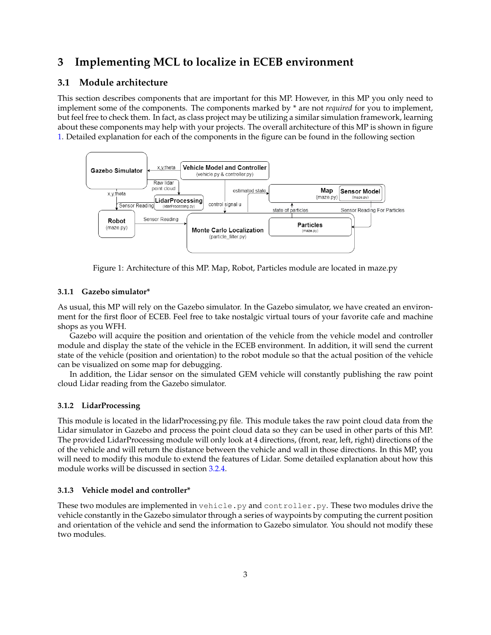# <span id="page-2-0"></span>**3 Implementing MCL to localize in ECEB environment**

# **3.1 Module architecture**

This section describes components that are important for this MP. However, in this MP you only need to implement some of the components. The components marked by \* are not *required* for you to implement, but feel free to check them. In fact, as class project may be utilizing a similar simulation framework, learning about these components may help with your projects. The overall architecture of this MP is shown in figure [1.](#page-2-1) Detailed explanation for each of the components in the figure can be found in the following section



<span id="page-2-1"></span>Figure 1: Architecture of this MP. Map, Robot, Particles module are located in maze.py

# **3.1.1 Gazebo simulator\***

As usual, this MP will rely on the Gazebo simulator. In the Gazebo simulator, we have created an environment for the first floor of ECEB. Feel free to take nostalgic virtual tours of your favorite cafe and machine shops as you WFH.

Gazebo will acquire the position and orientation of the vehicle from the vehicle model and controller module and display the state of the vehicle in the ECEB environment. In addition, it will send the current state of the vehicle (position and orientation) to the robot module so that the actual position of the vehicle can be visualized on some map for debugging.

In addition, the Lidar sensor on the simulated GEM vehicle will constantly publishing the raw point cloud Lidar reading from the Gazebo simulator.

### **3.1.2 LidarProcessing**

This module is located in the lidarProcessing.py file. This module takes the raw point cloud data from the Lidar simulator in Gazebo and process the point cloud data so they can be used in other parts of this MP. The provided LidarProcessing module will only look at 4 directions, (front, rear, left, right) directions of the of the vehicle and will return the distance between the vehicle and wall in those directions. In this MP, you will need to modify this module to extend the features of Lidar. Some detailed explanation about how this module works will be discussed in section [3.2.4.](#page-6-0)

### **3.1.3 Vehicle model and controller\***

These two modules are implemented in vehicle.py and controller.py. These two modules drive the vehicle constantly in the Gazebo simulator through a series of waypoints by computing the current position and orientation of the vehicle and send the information to Gazebo simulator. You should not modify these two modules.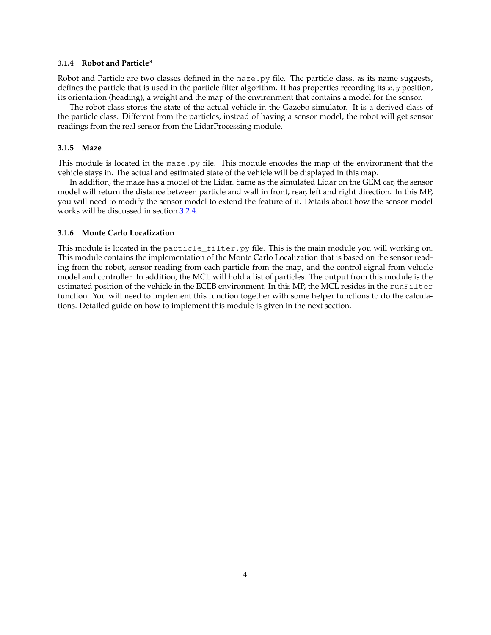### **3.1.4 Robot and Particle\***

Robot and Particle are two classes defined in the maze.py file. The particle class, as its name suggests, defines the particle that is used in the particle filter algorithm. It has properties recording its  $x, y$  position, its orientation (heading), a weight and the map of the environment that contains a model for the sensor.

The robot class stores the state of the actual vehicle in the Gazebo simulator. It is a derived class of the particle class. Different from the particles, instead of having a sensor model, the robot will get sensor readings from the real sensor from the LidarProcessing module.

#### **3.1.5 Maze**

This module is located in the maze.py file. This module encodes the map of the environment that the vehicle stays in. The actual and estimated state of the vehicle will be displayed in this map.

In addition, the maze has a model of the Lidar. Same as the simulated Lidar on the GEM car, the sensor model will return the distance between particle and wall in front, rear, left and right direction. In this MP, you will need to modify the sensor model to extend the feature of it. Details about how the sensor model works will be discussed in section [3.2.4.](#page-6-0)

### **3.1.6 Monte Carlo Localization**

This module is located in the particle\_filter.py file. This is the main module you will working on. This module contains the implementation of the Monte Carlo Localization that is based on the sensor reading from the robot, sensor reading from each particle from the map, and the control signal from vehicle model and controller. In addition, the MCL will hold a list of particles. The output from this module is the estimated position of the vehicle in the ECEB environment. In this MP, the MCL resides in the runFilter function. You will need to implement this function together with some helper functions to do the calculations. Detailed guide on how to implement this module is given in the next section.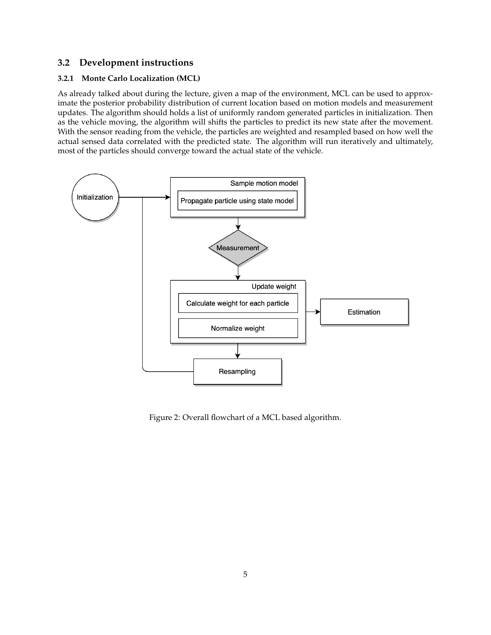# **3.2 Development instructions**

### **3.2.1 Monte Carlo Localization (MCL)**

As already talked about during the lecture, given a map of the environment, MCL can be used to approximate the posterior probability distribution of current location based on motion models and measurement updates. The algorithm should holds a list of uniformly random generated particles in initialization. Then as the vehicle moving, the algorithm will shifts the particles to predict its new state after the movement. With the sensor reading from the vehicle, the particles are weighted and resampled based on how well the actual sensed data correlated with the predicted state. The algorithm will run iteratively and ultimately, most of the particles should converge toward the actual state of the vehicle.



Figure 2: Overall flowchart of a MCL based algorithm.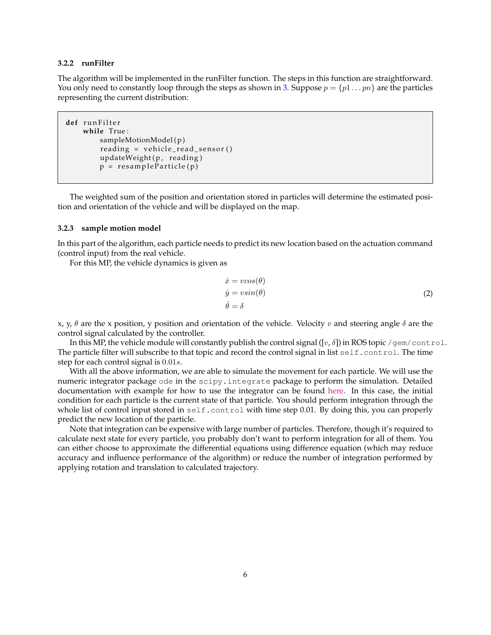### **3.2.2 runFilter**

The algorithm will be implemented in the runFilter function. The steps in this function are straightforward. You only need to constantly loop through the steps as shown in [3.](#page-6-1) Suppose  $p = \{p1 \dots pn\}$  are the particles representing the current distribution:

```
def r u n F i l t e r
    while True :
        sampleMotionModel(p)
        reading = vehicle\_read\_sensor()updateWeight(p, reading)
        p = resampleParticle(p)
```
The weighted sum of the position and orientation stored in particles will determine the estimated position and orientation of the vehicle and will be displayed on the map.

#### **3.2.3 sample motion model**

In this part of the algorithm, each particle needs to predict its new location based on the actuation command (control input) from the real vehicle.

For this MP, the vehicle dynamics is given as

$$
\begin{aligned}\n\dot{x} &= v\cos(\theta) \\
\dot{y} &= v\sin(\theta) \\
\dot{\theta} &= \delta\n\end{aligned} \tag{2}
$$

x, y,  $\theta$  are the x position, y position and orientation of the vehicle. Velocity v and steering angle  $\delta$  are the control signal calculated by the controller.

In this MP, the vehicle module will constantly publish the control signal  $([v, \delta])$  in ROS topic /gem/control. The particle filter will subscribe to that topic and record the control signal in list self.control. The time step for each control signal is 0.01s.

With all the above information, we are able to simulate the movement for each particle. We will use the numeric integrator package ode in the scipy.integrate package to perform the simulation. Detailed documentation with example for how to use the integrator can be found [here.](https://docs.scipy.org/doc/scipy/reference/generated/scipy.integrate.ode.html) In this case, the initial condition for each particle is the current state of that particle. You should perform integration through the whole list of control input stored in self.control with time step 0.01. By doing this, you can properly predict the new location of the particle.

Note that integration can be expensive with large number of particles. Therefore, though it's required to calculate next state for every particle, you probably don't want to perform integration for all of them. You can either choose to approximate the differential equations using difference equation (which may reduce accuracy and influence performance of the algorithm) or reduce the number of integration performed by applying rotation and translation to calculated trajectory.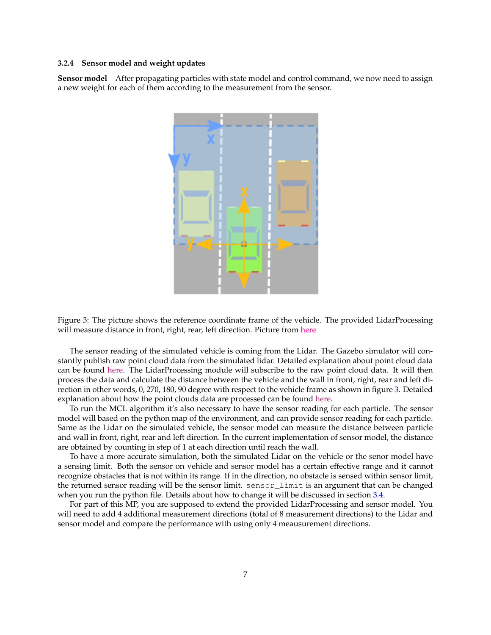#### **3.2.4 Sensor model and weight updates**

<span id="page-6-0"></span>**Sensor model** After propagating particles with state model and control command, we now need to assign a new weight for each of them according to the measurement from the sensor.



<span id="page-6-1"></span>Figure 3: The picture shows the reference coordinate frame of the vehicle. The provided LidarProcessing will measure distance in front, right, rear, left direction. Picture from [here](http://ronny.rest/tutorials/module/pointclouds_01/point_cloud_birdseye/)

The sensor reading of the simulated vehicle is coming from the Lidar. The Gazebo simulator will constantly publish raw point cloud data from the simulated lidar. Detailed explanation about point cloud data can be found [here.](http://ronny.rest/tutorials/module/pointclouds_01/point_cloud_data/) The LidarProcessing module will subscribe to the raw point cloud data. It will then process the data and calculate the distance between the vehicle and the wall in front, right, rear and left direction in other words, 0, 270, 180, 90 degree with respect to the vehicle frame as shown in figure [3.](#page-6-1) Detailed explanation about how the point clouds data are processed can be found [here.](http://ronny.rest/tutorials/module/pointclouds_01/point_cloud_birdseye/)

To run the MCL algorithm it's also necessary to have the sensor reading for each particle. The sensor model will based on the python map of the environment, and can provide sensor reading for each particle. Same as the Lidar on the simulated vehicle, the sensor model can measure the distance between particle and wall in front, right, rear and left direction. In the current implementation of sensor model, the distance are obtained by counting in step of 1 at each direction until reach the wall.

To have a more accurate simulation, both the simulated Lidar on the vehicle or the senor model have a sensing limit. Both the sensor on vehicle and sensor model has a certain effective range and it cannot recognize obstacles that is not within its range. If in the direction, no obstacle is sensed within sensor limit, the returned sensor reading will be the sensor limit. sensor\_limit is an argument that can be changed when you run the python file. Details about how to change it will be discussed in section [3.4.](#page-8-0)

For part of this MP, you are supposed to extend the provided LidarProcessing and sensor model. You will need to add 4 additional measurement directions (total of 8 measurement directions) to the Lidar and sensor model and compare the performance with using only 4 meausurement directions.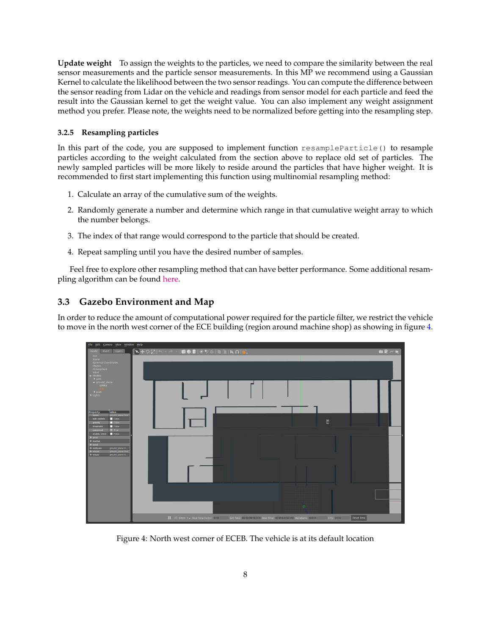**Update weight** To assign the weights to the particles, we need to compare the similarity between the real sensor measurements and the particle sensor measurements. In this MP we recommend using a Gaussian Kernel to calculate the likelihood between the two sensor readings. You can compute the difference between the sensor reading from Lidar on the vehicle and readings from sensor model for each particle and feed the result into the Gaussian kernel to get the weight value. You can also implement any weight assignment method you prefer. Please note, the weights need to be normalized before getting into the resampling step.

## **3.2.5 Resampling particles**

In this part of the code, you are supposed to implement function  $resampleParticle()$  to resample particles according to the weight calculated from the section above to replace old set of particles. The newly sampled particles will be more likely to reside around the particles that have higher weight. It is recommended to first start implementing this function using multinomial resampling method:

- 1. Calculate an array of the cumulative sum of the weights.
- 2. Randomly generate a number and determine which range in that cumulative weight array to which the number belongs.
- 3. The index of that range would correspond to the particle that should be created.
- 4. Repeat sampling until you have the desired number of samples.

Feel free to explore other resampling method that can have better performance. Some additional resampling algorithm can be found [here.](http://people.isy.liu.se/rt/schon/Publications/HolSG2006.pdf)

# **3.3 Gazebo Environment and Map**

In order to reduce the amount of computational power required for the particle filter, we restrict the vehicle to move in the north west corner of the ECE building (region around machine shop) as showing in figure [4.](#page-7-0)



<span id="page-7-0"></span>Figure 4: North west corner of ECEB. The vehicle is at its default location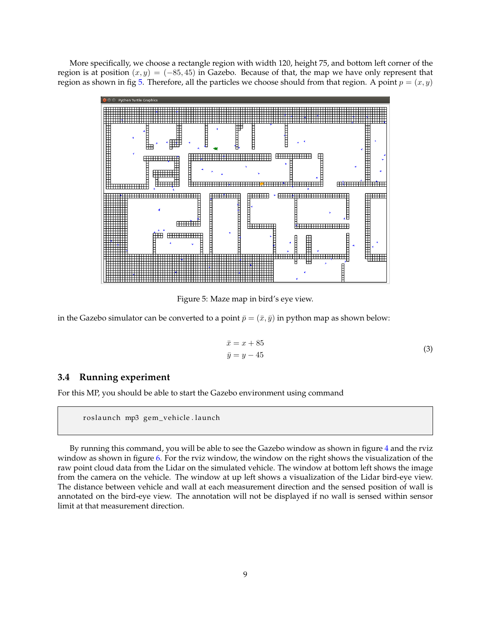More specifically, we choose a rectangle region with width 120, height 75, and bottom left corner of the region is at position  $(x, y) = (-85, 45)$  in Gazebo. Because of that, the map we have only represent that region as shown in fig [5.](#page-8-1) Therefore, all the particles we choose should from that region. A point  $p = (x, y)$ 



<span id="page-8-1"></span>Figure 5: Maze map in bird's eye view.

in the Gazebo simulator can be converted to a point  $\bar{p} = (\bar{x}, \bar{y})$  in python map as shown below:

$$
\bar{x} = x + 85
$$
  
\n
$$
\bar{y} = y - 45
$$
\n(3)

### <span id="page-8-0"></span>**3.4 Running experiment**

For this MP, you should be able to start the Gazebo environment using command

roslaunch mp3 gem\_vehicle.launch

By running this command, you will be able to see the Gazebo window as shown in figure [4](#page-7-0) and the rviz window as shown in figure [6.](#page-9-0) For the rviz window, the window on the right shows the visualization of the raw point cloud data from the Lidar on the simulated vehicle. The window at bottom left shows the image from the camera on the vehicle. The window at up left shows a visualization of the Lidar bird-eye view. The distance between vehicle and wall at each measurement direction and the sensed position of wall is annotated on the bird-eye view. The annotation will not be displayed if no wall is sensed within sensor limit at that measurement direction.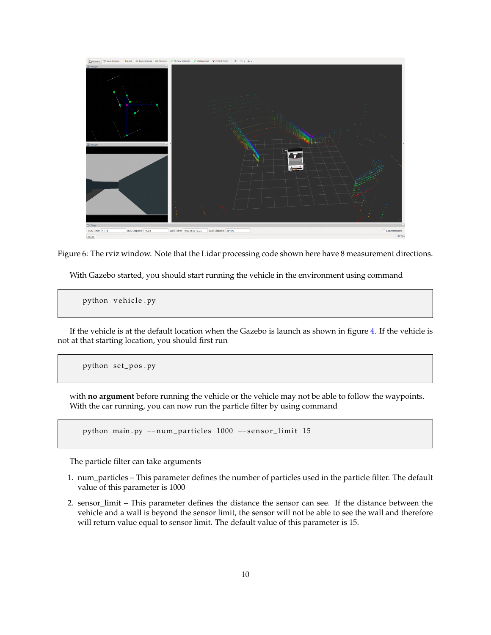

Figure 6: The rviz window. Note that the Lidar processing code shown here have 8 measurement directions.

<span id="page-9-0"></span>With Gazebo started, you should start running the vehicle in the environment using command

python vehicle.py

If the vehicle is at the default location when the Gazebo is launch as shown in figure [4.](#page-7-0) If the vehicle is not at that starting location, you should first run

python set\_pos.py

with **no argument** before running the vehicle or the vehicle may not be able to follow the waypoints. With the car running, you can now run the particle filter by using command

python main . py --num\_particles 1000 --sensor\_limit 15

The particle filter can take arguments

- 1. num\_particles This parameter defines the number of particles used in the particle filter. The default value of this parameter is 1000
- 2. sensor\_limit This parameter defines the distance the sensor can see. If the distance between the vehicle and a wall is beyond the sensor limit, the sensor will not be able to see the wall and therefore will return value equal to sensor limit. The default value of this parameter is 15.